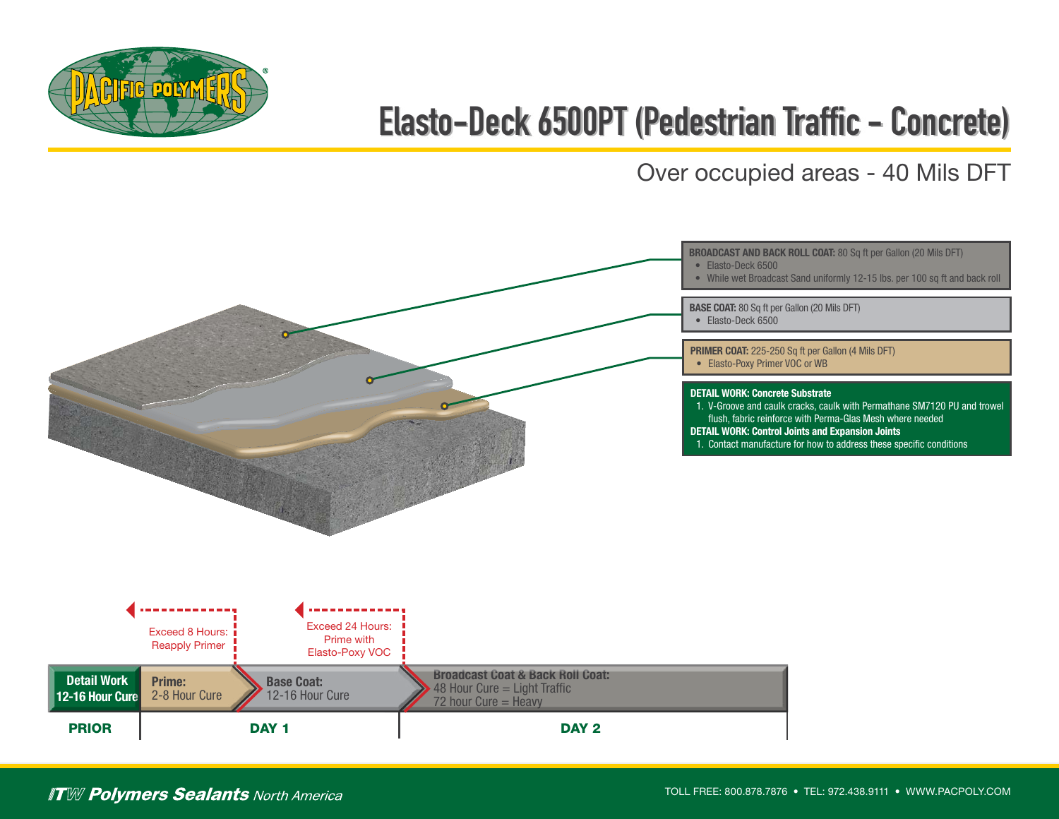

## **Elasto-Deck 6500PT (Pedestrian Traffic - Concrete)**

Over occupied areas - 40 Mils DFT



**ITW Polymers Sealants** North America